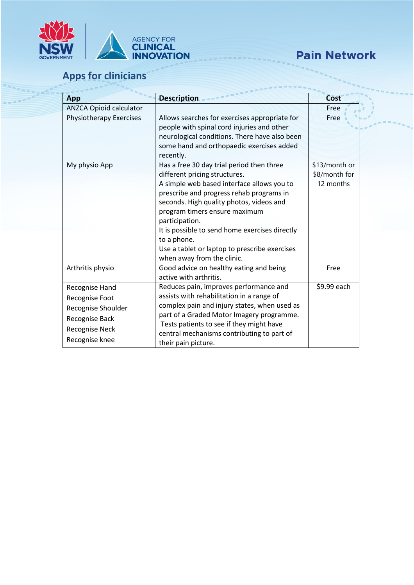

# **Pain Network**

## **Apps for clinicians**

| App                            | Description                                    | <b>Cost</b>   |
|--------------------------------|------------------------------------------------|---------------|
| <b>ANZCA Opioid calculator</b> |                                                | Free          |
| Physiotherapy Exercises        | Allows searches for exercises appropriate for  | Free          |
|                                | people with spinal cord injuries and other     |               |
|                                | neurological conditions. There have also been  |               |
|                                | some hand and orthopaedic exercises added      |               |
|                                | recently.                                      |               |
| My physio App                  | Has a free 30 day trial period then three      | \$13/month or |
|                                | different pricing structures.                  | \$8/month for |
|                                | A simple web based interface allows you to     | 12 months     |
|                                | prescribe and progress rehab programs in       |               |
|                                | seconds. High quality photos, videos and       |               |
|                                | program timers ensure maximum                  |               |
|                                | participation.                                 |               |
|                                | It is possible to send home exercises directly |               |
|                                | to a phone.                                    |               |
|                                | Use a tablet or laptop to prescribe exercises  |               |
|                                | when away from the clinic.                     |               |
| Arthritis physio               | Good advice on healthy eating and being        | Free          |
|                                | active with arthritis.                         |               |
| Recognise Hand                 | Reduces pain, improves performance and         | \$9.99 each   |
| Recognise Foot                 | assists with rehabilitation in a range of      |               |
| Recognise Shoulder             | complex pain and injury states, when used as   |               |
| Recognise Back                 | part of a Graded Motor Imagery programme.      |               |
| <b>Recognise Neck</b>          | Tests patients to see if they might have       |               |
| Recognise knee                 | central mechanisms contributing to part of     |               |
|                                | their pain picture.                            |               |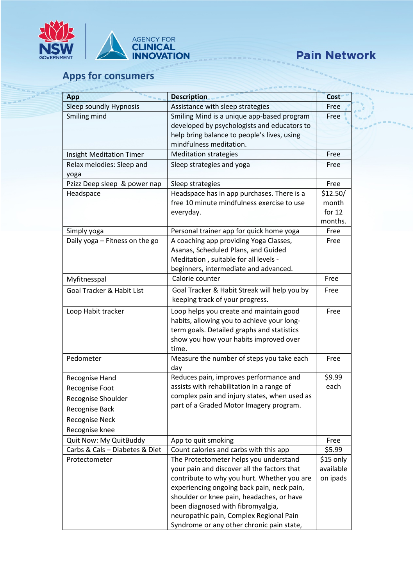

# **Pain Network**

#### **Apps for consumers**

| App                            | <b>Description</b>                           | <b>Cost</b> |
|--------------------------------|----------------------------------------------|-------------|
| Sleep soundly Hypnosis         | Assistance with sleep strategies             | Free        |
| Smiling mind                   | Smiling Mind is a unique app-based program   | Free        |
|                                | developed by psychologists and educators to  |             |
|                                | help bring balance to people's lives, using  |             |
|                                | mindfulness meditation.                      |             |
| Insight Meditation Timer       | <b>Meditation strategies</b>                 | Free        |
| Relax melodies: Sleep and      | Sleep strategies and yoga                    | Free        |
| yoga                           |                                              |             |
| Pzizz Deep sleep & power nap   | Sleep strategies                             | Free        |
| Headspace                      | Headspace has in app purchases. There is a   | \$12.50/    |
|                                | free 10 minute mindfulness exercise to use   | month       |
|                                | everyday.                                    | for $12$    |
|                                |                                              | months.     |
| Simply yoga                    | Personal trainer app for quick home yoga     | Free        |
| Daily yoga - Fitness on the go | A coaching app providing Yoga Classes,       | Free        |
|                                | Asanas, Scheduled Plans, and Guided          |             |
|                                | Meditation, suitable for all levels -        |             |
|                                | beginners, intermediate and advanced.        |             |
| Myfitnesspal                   | Calorie counter                              | Free        |
| Goal Tracker & Habit List      | Goal Tracker & Habit Streak will help you by | Free        |
|                                | keeping track of your progress.              |             |
| Loop Habit tracker             | Loop helps you create and maintain good      | Free        |
|                                | habits, allowing you to achieve your long-   |             |
|                                | term goals. Detailed graphs and statistics   |             |
|                                | show you how your habits improved over       |             |
|                                | time.                                        |             |
| Pedometer                      | Measure the number of steps you take each    | Free        |
|                                | day                                          |             |
| Recognise Hand                 | Reduces pain, improves performance and       | \$9.99      |
| Recognise Foot                 | assists with rehabilitation in a range of    | each        |
| Recognise Shoulder             | complex pain and injury states, when used as |             |
| Recognise Back                 | part of a Graded Motor Imagery program.      |             |
| <b>Recognise Neck</b>          |                                              |             |
| Recognise knee                 |                                              |             |
| Quit Now: My QuitBuddy         | App to quit smoking                          | Free        |
| Carbs & Cals - Diabetes & Diet | Count calories and carbs with this app       | \$5.99      |
| Protectometer                  | The Protectometer helps you understand       | \$15 only   |
|                                | your pain and discover all the factors that  | available   |
|                                | contribute to why you hurt. Whether you are  | on ipads    |
|                                | experiencing ongoing back pain, neck pain,   |             |
|                                | shoulder or knee pain, headaches, or have    |             |
|                                | been diagnosed with fibromyalgia,            |             |
|                                | neuropathic pain, Complex Regional Pain      |             |
|                                | Syndrome or any other chronic pain state,    |             |